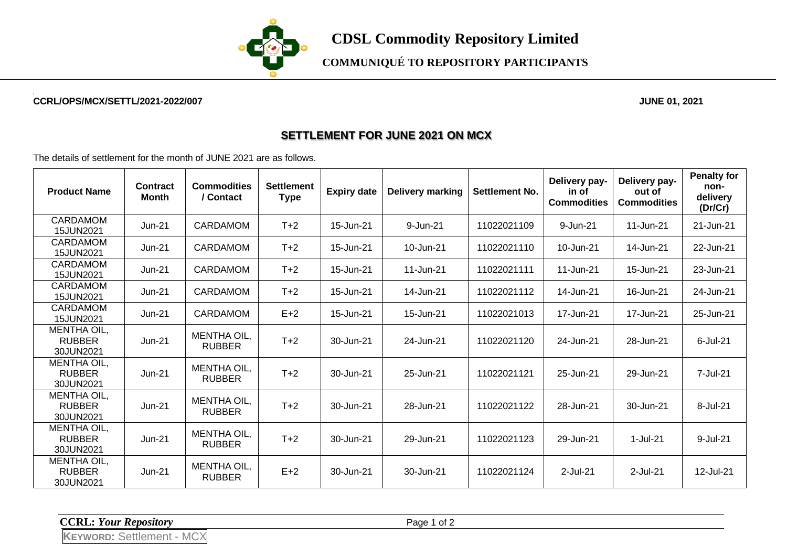

## **COMMUNIQUÉ TO REPOSITORY PARTICIPANTS**

#### **CCRL/OPS/MCX/SETTL/2021-2022/007 JUNE 01, 2021**

### **SETTLEMENT FOR JUNE 2021 ON MCX**

The details of settlement for the month of JUNE 2021 are as follows.

| <b>Product Name</b>                              | <b>Contract</b><br>Month | <b>Commodities</b><br>/ Contact | <b>Settlement</b><br><b>Type</b> | <b>Expiry date</b> | <b>Delivery marking</b> | Settlement No. | Delivery pay-<br>in of<br><b>Commodities</b> | Delivery pay-<br>out of<br><b>Commodities</b> | <b>Penalty for</b><br>non-<br>delivery<br>(Dr/Cr) |
|--------------------------------------------------|--------------------------|---------------------------------|----------------------------------|--------------------|-------------------------|----------------|----------------------------------------------|-----------------------------------------------|---------------------------------------------------|
| <b>CARDAMOM</b><br>15JUN2021                     | $Jun-21$                 | <b>CARDAMOM</b>                 | $T+2$                            | 15-Jun-21          | 9-Jun-21                | 11022021109    | 9-Jun-21                                     | 11-Jun-21                                     | 21-Jun-21                                         |
| <b>CARDAMOM</b><br>15JUN2021                     | $Jun-21$                 | <b>CARDAMOM</b>                 | $T+2$                            | 15-Jun-21          | 10-Jun-21               | 11022021110    | 10-Jun-21                                    | 14-Jun-21                                     | 22-Jun-21                                         |
| <b>CARDAMOM</b><br>15JUN2021                     | $Jun-21$                 | CARDAMOM                        | $T+2$                            | 15-Jun-21          | 11-Jun-21               | 11022021111    | 11-Jun-21                                    | 15-Jun-21                                     | 23-Jun-21                                         |
| <b>CARDAMOM</b><br>15JUN2021                     | $Jun-21$                 | <b>CARDAMOM</b>                 | $T+2$                            | 15-Jun-21          | 14-Jun-21               | 11022021112    | 14-Jun-21                                    | 16-Jun-21                                     | 24-Jun-21                                         |
| <b>CARDAMOM</b><br>15JUN2021                     | $Jun-21$                 | <b>CARDAMOM</b>                 | $E+2$                            | 15-Jun-21          | 15-Jun-21               | 11022021013    | 17-Jun-21                                    | 17-Jun-21                                     | 25-Jun-21                                         |
| <b>MENTHA OIL,</b><br><b>RUBBER</b><br>30JUN2021 | $Jun-21$                 | MENTHA OIL,<br><b>RUBBER</b>    | $T+2$                            | 30-Jun-21          | 24-Jun-21               | 11022021120    | 24-Jun-21                                    | 28-Jun-21                                     | 6-Jul-21                                          |
| MENTHA OIL,<br><b>RUBBER</b><br>30JUN2021        | $Jun-21$                 | MENTHA OIL,<br><b>RUBBER</b>    | $T+2$                            | 30-Jun-21          | 25-Jun-21               | 11022021121    | 25-Jun-21                                    | 29-Jun-21                                     | 7-Jul-21                                          |
| <b>MENTHA OIL,</b><br><b>RUBBER</b><br>30JUN2021 | $Jun-21$                 | MENTHA OIL,<br><b>RUBBER</b>    | $T+2$                            | 30-Jun-21          | 28-Jun-21               | 11022021122    | 28-Jun-21                                    | 30-Jun-21                                     | 8-Jul-21                                          |
| <b>MENTHA OIL,</b><br><b>RUBBER</b><br>30JUN2021 | $Jun-21$                 | MENTHA OIL,<br><b>RUBBER</b>    | $T+2$                            | 30-Jun-21          | 29-Jun-21               | 11022021123    | 29-Jun-21                                    | 1-Jul-21                                      | 9-Jul-21                                          |
| <b>MENTHA OIL,</b><br><b>RUBBER</b><br>30JUN2021 | $Jun-21$                 | MENTHA OIL,<br><b>RUBBER</b>    | $E+2$                            | 30-Jun-21          | 30-Jun-21               | 11022021124    | 2-Jul-21                                     | 2-Jul-21                                      | 12-Jul-21                                         |

**CCRL:** *Your Repository* Page 1 of 2

**KEYWORD:** Settlement - MCX